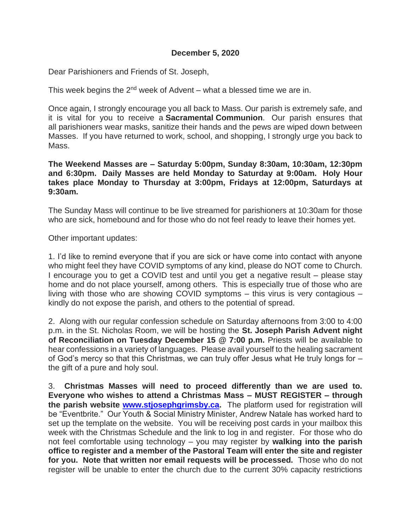## **December 5, 2020**

Dear Parishioners and Friends of St. Joseph,

This week begins the  $2<sup>nd</sup>$  week of Advent – what a blessed time we are in.

Once again, I strongly encourage you all back to Mass. Our parish is extremely safe, and it is vital for you to receive a **Sacramental Communion**. Our parish ensures that all parishioners wear masks, sanitize their hands and the pews are wiped down between Masses. If you have returned to work, school, and shopping, I strongly urge you back to Mass.

**The Weekend Masses are – Saturday 5:00pm, Sunday 8:30am, 10:30am, 12:30pm and 6:30pm. Daily Masses are held Monday to Saturday at 9:00am. Holy Hour takes place Monday to Thursday at 3:00pm, Fridays at 12:00pm, Saturdays at 9:30am.**

The Sunday Mass will continue to be live streamed for parishioners at 10:30am for those who are sick, homebound and for those who do not feel ready to leave their homes yet.

Other important updates:

1. I'd like to remind everyone that if you are sick or have come into contact with anyone who might feel they have COVID symptoms of any kind, please do NOT come to Church. I encourage you to get a COVID test and until you get a negative result – please stay home and do not place yourself, among others. This is especially true of those who are living with those who are showing COVID symptoms – this virus is very contagious – kindly do not expose the parish, and others to the potential of spread.

2. Along with our regular confession schedule on Saturday afternoons from 3:00 to 4:00 p.m. in the St. Nicholas Room, we will be hosting the **St. Joseph Parish Advent night of Reconciliation on Tuesday December 15 @ 7:00 p.m.** Priests will be available to hear confessions in a variety of languages. Please avail yourself to the healing sacrament of God's mercy so that this Christmas, we can truly offer Jesus what He truly longs for – the gift of a pure and holy soul.

3. **Christmas Masses will need to proceed differently than we are used to. Everyone who wishes to attend a Christmas Mass – MUST REGISTER – through the parish website [www.stjosephgrimsby.ca.](http://www.stjosephgrimsby.ca/)** The platform used for registration will be "Eventbrite." Our Youth & Social Ministry Minister, Andrew Natale has worked hard to set up the template on the website. You will be receiving post cards in your mailbox this week with the Christmas Schedule and the link to log in and register. For those who do not feel comfortable using technology – you may register by **walking into the parish office to register and a member of the Pastoral Team will enter the site and register for you. Note that written nor email requests will be processed.** Those who do not register will be unable to enter the church due to the current 30% capacity restrictions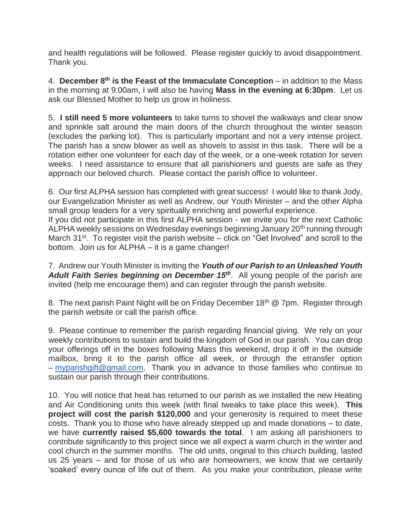and health regulations will be followed. Please register quickly to avoid disappointment. Thank you.

4. **December 8th is the Feast of the Immaculate Conception** – in addition to the Mass in the morning at 9:00am, I will also be having **Mass in the evening at 6:30pm**. Let us ask our Blessed Mother to help us grow in holiness.

5. **I still need 5 more volunteers** to take turns to shovel the walkways and clear snow and sprinkle salt around the main doors of the church throughout the winter season (excludes the parking lot). This is particularly important and not a very intense project. The parish has a snow blower as well as shovels to assist in this task. There will be a rotation either one volunteer for each day of the week, or a one-week rotation for seven weeks. I need assistance to ensure that all parishioners and guests are safe as they approach our beloved church. Please contact the parish office to volunteer.

6. Our first ALPHA session has completed with great success! I would like to thank Jody, our Evangelization Minister as well as Andrew, our Youth Minister – and the other Alpha small group leaders for a very spiritually enriching and powerful experience. If you did not participate in this first ALPHA session - we invite you for the next Catholic

ALPHA weekly sessions on Wednesday evenings beginning January 20<sup>th</sup> running through March  $31^{st}$ . To register visit the parish website – click on "Get Involved" and scroll to the bottom. Join us for ALPHA – it is a game changer!

7. Andrew our Youth Minister is inviting the *Youth of our Parish to an Unleashed Youth Adult Faith Series beginning on December 15th*. All young people of the parish are invited (help me encourage them) and can register through the parish website.

8. The next parish Paint Night will be on Friday December 18<sup>th</sup> @ 7pm. Register through the parish website or call the parish office.

9. Please continue to remember the parish regarding financial giving. We rely on your weekly contributions to sustain and build the kingdom of God in our parish. You can drop your offerings off in the boxes following Mass this weekend, drop it off in the outside mailbox, bring it to the parish office all week, or through the etransfer option – [myparishgift@gmail.com.](mailto:myparishgift@gmail.com) Thank you in advance to those families who continue to sustain our parish through their contributions.

10. You will notice that heat has returned to our parish as we installed the new Heating and Air Conditioning units this week (with final tweaks to take place this week). **This project will cost the parish \$120,000** and your generosity is required to meet these costs. Thank you to those who have already stepped up and made donations – to date, we have **currently raised \$5,600 towards the total**. I am asking all parishioners to contribute significantly to this project since we all expect a warm church in the winter and cool church in the summer months. The old units, original to this church building, lasted us 25 years – and for those of us who are homeowners, we know that we certainly 'soaked' every ounce of life out of them. As you make your contribution, please write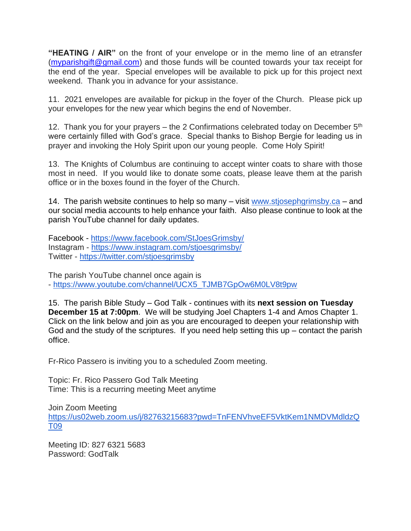**"HEATING / AIR"** on the front of your envelope or in the memo line of an etransfer [\(myparishgift@gmail.com\)](mailto:myparishgift@gmail.com) and those funds will be counted towards your tax receipt for the end of the year. Special envelopes will be available to pick up for this project next weekend. Thank you in advance for your assistance.

11. 2021 envelopes are available for pickup in the foyer of the Church. Please pick up your envelopes for the new year which begins the end of November.

12. Thank you for your prayers – the 2 Confirmations celebrated today on December  $5<sup>th</sup>$ were certainly filled with God's grace. Special thanks to Bishop Bergie for leading us in prayer and invoking the Holy Spirit upon our young people. Come Holy Spirit!

13. The Knights of Columbus are continuing to accept winter coats to share with those most in need. If you would like to donate some coats, please leave them at the parish office or in the boxes found in the foyer of the Church.

14. The parish website continues to help so many – visit [www.stjosephgrimsby.ca](http://www.stjosephgrimsby.ca/) – and our social media accounts to help enhance your faith. Also please continue to look at the parish YouTube channel for daily updates.

Facebook - <https://www.facebook.com/StJoesGrimsby/> Instagram - <https://www.instagram.com/stjoesgrimsby/> Twitter - <https://twitter.com/stjoesgrimsby>

The parish YouTube channel once again is - [https://www.youtube.com/channel/UCX5\\_TJMB7GpOw6M0LV8t9pw](https://www.youtube.com/channel/UCX5_TJMB7GpOw6M0LV8t9pw)

15. The parish Bible Study – God Talk - continues with its **next session on Tuesday December 15 at 7:00pm**. We will be studying Joel Chapters 1-4 and Amos Chapter 1. Click on the link below and join as you are encouraged to deepen your relationship with God and the study of the scriptures. If you need help setting this up – contact the parish office.

Fr-Rico Passero is inviting you to a scheduled Zoom meeting.

Topic: Fr. Rico Passero God Talk Meeting Time: This is a recurring meeting Meet anytime

Join Zoom Meeting [https://us02web.zoom.us/j/82763215683?pwd=TnFENVhveEF5VktKem1NMDVMdldzQ](https://us02web.zoom.us/j/82763215683?pwd=TnFENVhveEF5VktKem1NMDVMdldzQT09) [T09](https://us02web.zoom.us/j/82763215683?pwd=TnFENVhveEF5VktKem1NMDVMdldzQT09)

Meeting ID: 827 6321 5683 Password: GodTalk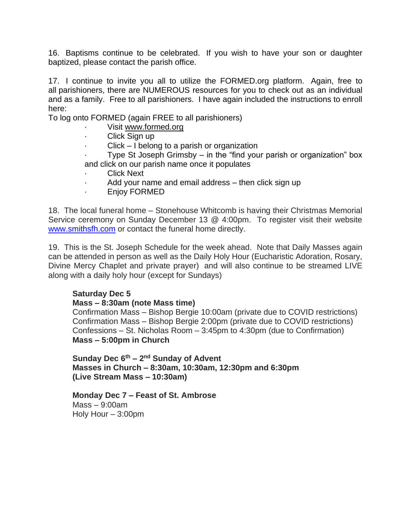16. Baptisms continue to be celebrated. If you wish to have your son or daughter baptized, please contact the parish office.

17. I continue to invite you all to utilize the FORMED.org platform. Again, free to all parishioners, there are NUMEROUS resources for you to check out as an individual and as a family. Free to all parishioners. I have again included the instructions to enroll here:

To log onto FORMED (again FREE to all parishioners)

- Visit [www.formed.org](http://www.formed.org/)
- Click Sign up
- $Click I belong to a parish or organization$

Type St Joseph Grimsby  $-$  in the "find your parish or organization" box and click on our parish name once it populates

- **Click Next**
- Add your name and email address  $-$  then click sign up
- · Enjoy FORMED

18. The local funeral home – Stonehouse Whitcomb is having their Christmas Memorial Service ceremony on Sunday December 13 @ 4:00pm. To register visit their website [www.smithsfh.com](http://www.smithsfh.com/) or contact the funeral home directly.

19. This is the St. Joseph Schedule for the week ahead. Note that Daily Masses again can be attended in person as well as the Daily Holy Hour (Eucharistic Adoration, Rosary, Divine Mercy Chaplet and private prayer) and will also continue to be streamed LIVE along with a daily holy hour (except for Sundays)

## **Saturday Dec 5**

## **Mass – 8:30am (note Mass time)**

Confirmation Mass – Bishop Bergie 10:00am (private due to COVID restrictions) Confirmation Mass – Bishop Bergie 2:00pm (private due to COVID restrictions) Confessions – St. Nicholas Room – 3:45pm to 4:30pm (due to Confirmation) **Mass – 5:00pm in Church**

**Sunday Dec 6th – 2 nd Sunday of Advent Masses in Church – 8:30am, 10:30am, 12:30pm and 6:30pm (Live Stream Mass – 10:30am)**

**Monday Dec 7 – Feast of St. Ambrose** Mass – 9:00am Holy Hour – 3:00pm